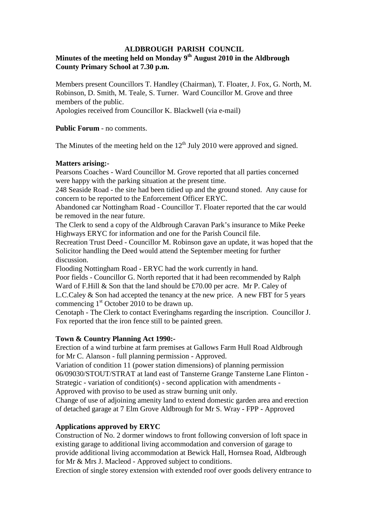## **ALDBROUGH PARISH COUNCIL**

# **Minutes of the meeting held on Monday 9th August 2010 in the Aldbrough County Primary School at 7.30 p.m.**

Members present Councillors T. Handley (Chairman), T. Floater, J. Fox, G. North, M. Robinson, D. Smith, M. Teale, S. Turner. Ward Councillor M. Grove and three members of the public.

Apologies received from Councillor K. Blackwell (via e-mail)

**Public Forum** - no comments.

The Minutes of the meeting held on the  $12<sup>th</sup>$  July 2010 were approved and signed.

#### **Matters arising:-**

Pearsons Coaches - Ward Councillor M. Grove reported that all parties concerned were happy with the parking situation at the present time.

248 Seaside Road - the site had been tidied up and the ground stoned. Any cause for concern to be reported to the Enforcement Officer ERYC.

Abandoned car Nottingham Road - Councillor T. Floater reported that the car would be removed in the near future.

The Clerk to send a copy of the Aldbrough Caravan Park's insurance to Mike Peeke Highways ERYC for information and one for the Parish Council file.

Recreation Trust Deed - Councillor M. Robinson gave an update, it was hoped that the Solicitor handling the Deed would attend the September meeting for further discussion.

Flooding Nottingham Road - ERYC had the work currently in hand.

Poor fields - Councillor G. North reported that it had been recommended by Ralph Ward of F.Hill & Son that the land should be £70.00 per acre. Mr P. Caley of L.C.Caley & Son had accepted the tenancy at the new price. A new FBT for 5 years commencing  $1<sup>st</sup>$  October 2010 to be drawn up.

Cenotaph - The Clerk to contact Everinghams regarding the inscription. Councillor J. Fox reported that the iron fence still to be painted green.

# **Town & Country Planning Act 1990:-**

Erection of a wind turbine at farm premises at Gallows Farm Hull Road Aldbrough for Mr C. Alanson - full planning permission - Approved.

Variation of condition 11 (power station dimensions) of planning permission 06/09030/STOUT/STRAT at land east of Tansterne Grange Tansterne Lane Flinton - Strategic - variation of condition(s) - second application with amendments -

Approved with proviso to be used as straw burning unit only.

Change of use of adjoining amenity land to extend domestic garden area and erection of detached garage at 7 Elm Grove Aldbrough for Mr S. Wray - FPP - Approved

# **Applications approved by ERYC**

Construction of No. 2 dormer windows to front following conversion of loft space in existing garage to additional living accommodation and conversion of garage to provide additional living accommodation at Bewick Hall, Hornsea Road, Aldbrough for Mr & Mrs J. Macleod - Approved subject to conditions.

Erection of single storey extension with extended roof over goods delivery entrance to